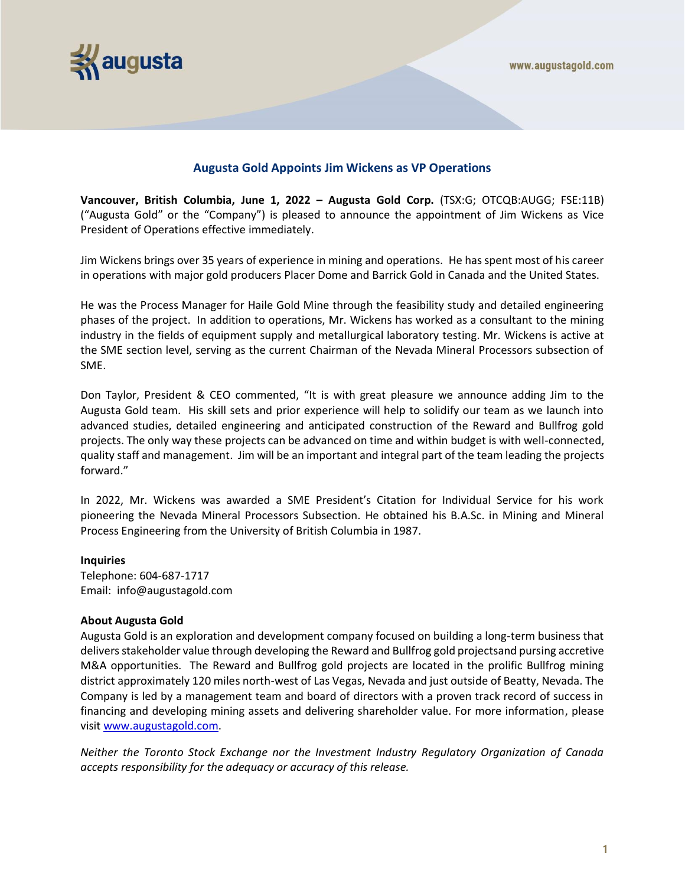

## **Augusta Gold Appoints Jim Wickens as VP Operations**

**Vancouver, British Columbia, June 1, 2022 – Augusta Gold Corp.** (TSX:G; OTCQB:AUGG; FSE:11B) ("Augusta Gold" or the "Company") is pleased to announce the appointment of Jim Wickens as Vice President of Operations effective immediately.

Jim Wickens brings over 35 years of experience in mining and operations. He has spent most of his career in operations with major gold producers Placer Dome and Barrick Gold in Canada and the United States.

He was the Process Manager for Haile Gold Mine through the feasibility study and detailed engineering phases of the project. In addition to operations, Mr. Wickens has worked as a consultant to the mining industry in the fields of equipment supply and metallurgical laboratory testing. Mr. Wickens is active at the SME section level, serving as the current Chairman of the Nevada Mineral Processors subsection of SME.

Don Taylor, President & CEO commented, "It is with great pleasure we announce adding Jim to the Augusta Gold team. His skill sets and prior experience will help to solidify our team as we launch into advanced studies, detailed engineering and anticipated construction of the Reward and Bullfrog gold projects. The only way these projects can be advanced on time and within budget is with well-connected, quality staff and management. Jim will be an important and integral part of the team leading the projects forward."

In 2022, Mr. Wickens was awarded a SME President's Citation for Individual Service for his work pioneering the Nevada Mineral Processors Subsection. He obtained his B.A.Sc. in Mining and Mineral Process Engineering from the University of British Columbia in 1987.

## **Inquiries**

Telephone: 604-687-1717 Email: info@augustagold.com

## **About Augusta Gold**

Augusta Gold is an exploration and development company focused on building a long-term business that delivers stakeholder value through developing the Reward and Bullfrog gold projectsand pursing accretive M&A opportunities. The Reward and Bullfrog gold projects are located in the prolific Bullfrog mining district approximately 120 miles north-west of Las Vegas, Nevada and just outside of Beatty, Nevada. The Company is led by a management team and board of directors with a proven track record of success in financing and developing mining assets and delivering shareholder value. For more information, please visit [www.augustagold.com.](http://www.augustagold.com/)

*Neither the Toronto Stock Exchange nor the Investment Industry Regulatory Organization of Canada accepts responsibility for the adequacy or accuracy of this release.*